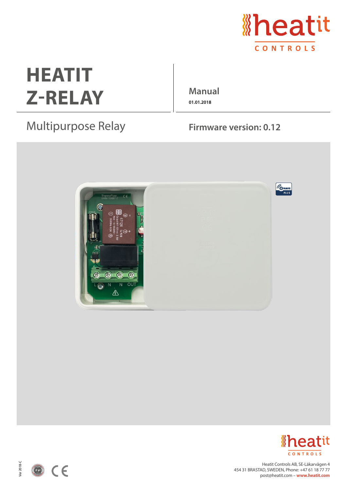

## **HEATIT** Z-RELAY Manual

**01.01.2018**

## Multipurpose Relay Firmware version: 0.12





Heatit Controls AB, SE-Läkarvägen 4 454 31 BRASTAD, SWEDEN, Phone: +47 61 18 77 77 post@heatit.com – **www.heatit.com**



Ver 2018-C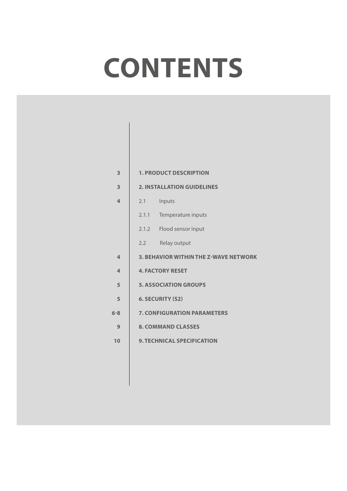# **CONTENTS**

| 3              | <b>1. PRODUCT DESCRIPTION</b>      |                                              |  |
|----------------|------------------------------------|----------------------------------------------|--|
| 3              |                                    | <b>2. INSTALLATION GUIDELINES</b>            |  |
| $\overline{4}$ | 2.1                                | Inputs                                       |  |
|                | 2.1.1                              | Temperature inputs                           |  |
|                |                                    | 2.1.2 Flood sensor input                     |  |
|                | 2.2                                | Relay output                                 |  |
| 4              |                                    | <b>3. BEHAVIOR WITHIN THE Z-WAVE NETWORK</b> |  |
| $\overline{4}$ |                                    | <b>4. FACTORY RESET</b>                      |  |
| 5              |                                    | <b>5. ASSOCIATION GROUPS</b>                 |  |
| 5              | <b>6. SECURITY (S2)</b>            |                                              |  |
| $6 - 8$        | <b>7. CONFIGURATION PARAMETERS</b> |                                              |  |
| 9              | <b>8. COMMAND CLASSES</b>          |                                              |  |
| 10             | <b>9. TECHNICAL SPECIFICATION</b>  |                                              |  |
|                |                                    |                                              |  |
|                |                                    |                                              |  |
|                |                                    |                                              |  |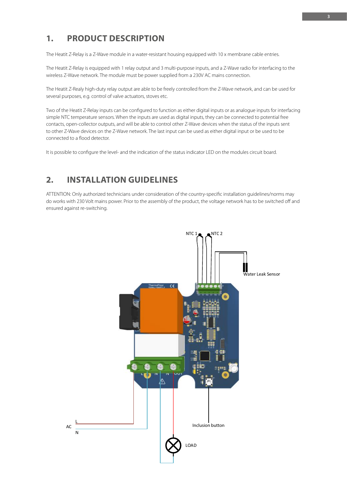#### **3**

#### **1. PRODUCT DESCRIPTION** interface Simple Simple Simple NTC temperature sensors. When the input simple as digital inputs are used as digital inputs are used as digital inputs are used as digital inputs are used as digital inputs, they can be used

The Heatit Z-Relay is a Z-Wave module in a water-resistant housing equipped with 10 x membrane cable entries.

The Heatit Z-Relay is equipped with 1 relay output and 3 multi-purpose inputs, and a Z-Wave radio for interfacing to the<br>wireless Z-Wave petwork. The module must be power supplied from a 230V AC mains connection. wireless Z-Wave network. The module must be power supplied from a 230V AC mains connection.

The Heatit Z-Realy high-duty relay output are able to be freely controlled from the Z-Wave network, and can be used for several purposes, e.g. control of valve actuators, stoves etc.

Two of the Heatit Z-Relay inputs can be configured to function as either digital inputs or as analogue inputs for interfacing simple NTC temperature sensors. When the inputs are used as digital inputs, they can be connected to potential free contacts, open-collector outputs, and will be able to control other Z-Wave devices when the status of the inputs sent to other Z-Wave devices on the Z-Wave network. The last input can be used as either digital input or be used to be connected to a flood detector.

It is possible to configure the level- and the indication of the status indicator LED on the modules circuit board. 2. Installation guidelines.

## **2. INSTALLATION GUIDELINES**

ATTENTION: Only authorized technicians under consideration of the country-specific installation guidelines/norms may<br>A structure of the assembly of the product, the prior to the prior to the prior to the voltage of the vol do works with 230 Volt mains power. Prior to the assembly of the product, the voltage network has to be switched off and ensured against re-switching.

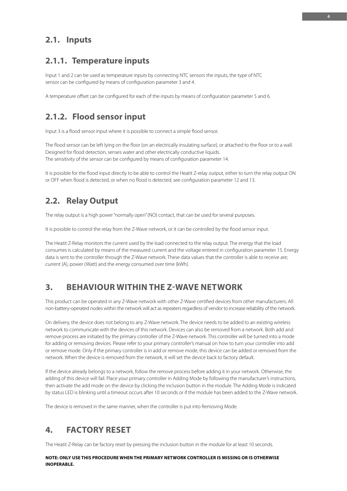## **2.1. Inputs**

## **2.1.1. Temperature inputs**

Input 1 and 2 can be used as temperature inputs by connecting NTC sensors the inputs, the type of NTC sensor can be configured by means of configuration parameter 3 and 4.

A temperature offset can be configured for each of the inputs by means of configuration parameter 5 and 6.

## **2.1.2. Flood sensor input**

Input 3 is a flood sensor input where it is possible to connect a simple flood sensor.

The flood sensor can be left lying on the floor (on an electrically insulating surface), or attached to the floor or to a wall. Designed for flood detection, senses water and other electrically conductive liquids. The sensitivity of the sensor can be configured by means of configuration parameter 14.

It is possible for the flood input directly to be able to control the Heatit Z-relay output, either to turn the relay output ON or OFF when flood is detected, or when no flood is detected, see configuration parameter 12 and 13.

## **2.2. Relay Output**

The relay output is a high power "normally open" (NO) contact, that can be used for several purposes.

It is possible to control the relay from the Z-Wave network, or it can be controlled by the flood sensor input.

The Heatit Z-Relay monitors the current used by the load connected to the relay output. The energy that the load consumes is calculated by means of the measured current and the voltage entered in configuration parameter 15. Energy data is sent to the controller through the Z-Wave network. These data values that the controller is able to receive are; current (A), power (Watt) and the energy consumed over time (kWh).

## **3. BEHAVIOUR WITHIN THE Z-WAVE NETWORK**

This product can be operated in any Z-Wave network with other Z-Wave certified devices from other manufacturers. All non-battery-operated nodes within the network will act as repeaters regardless of vendor to increase reliability of the network.

On delivery, the device does not belong to any Z-Wave network. The device needs to be added to an existing wireless network to communicate with the devices of this network. Devices can also be removed from a network. Both add and remove process are initiated by the primary controller of the Z-Wave network. This controller will be turned into a mode for adding or removing devices. Please refer to your primary controller's manual on how to turn your controller into add or remove mode. Only if the primary controller is in add or remove mode, this device can be added or removed from the network. When the device is removed from the network, it will set the device back to factory default.

If the device already belongs to a network, follow the remove process before adding it in your network. Otherwise, the adding of this device will fail. Place your primary controller in Adding Mode by following the manufacturer's instructions, then activate the add mode on the device by clicking the inclusion button in the module. The Adding Mode is indicated by status LED is blinking until a timeout occurs after 10 seconds or if the module has been added to the Z-Wave network.

The device is removed in the same manner, when the controller is put into Removing Mode.

## **4. FACTORY RESET**

The Heatit Z-Relay can be factory reset by pressing the inclusion button in the module for at least 10 seconds.

**NOTE: ONLY USE THIS PROCEDURE WHEN THE PRIMARY NETWORK CONTROLLER IS MISSING OR IS OTHERWISE INOPERABLE.**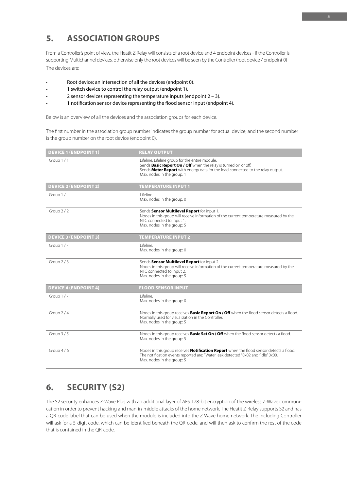## **5. ASSOCIATION GROUPS**

From a Controller's point of view, the Heatit Z-Relay will consists of a root device and 4 endpoint devices - if the Controller is supporting Multichannel devices, otherwise only the root devices will be seen by the Controller (root device / endpoint 0) The devices are:

- Root device; an intersection of all the devices (endpoint 0).
- 1 switch device to control the relay output (endpoint 1).
- 2 sensor devices representing the temperature inputs (endpoint  $2 3$ ).
- 1 notification sensor device representing the flood sensor input (endpoint 4).

Below is an overview of all the devices and the association groups for each device.

The first number in the association group number indicates the group number for actual device, and the second number is the group number on the root device (endpoint 0).

| <b>DEVICE 1 (ENDPOINT 1)</b> | <b>RELAY OUTPUT</b>                                                                                                                                                                                                                 |
|------------------------------|-------------------------------------------------------------------------------------------------------------------------------------------------------------------------------------------------------------------------------------|
| Group $1/1$                  | Lifeline. Lifeline group for the entire module.<br>Sends Basic Report On / Off when the relay is turned on or off.<br>Sends Meter Report with energy data for the load connected to the relay output.<br>Max. nodes in the group: 1 |
| <b>DEVICE 2 (ENDPOINT 2)</b> | <b>TEMPERATURE INPUT 1</b>                                                                                                                                                                                                          |
| Group $1/-$                  | I ifeline.<br>Max. nodes in the group: 0                                                                                                                                                                                            |
| Group 2/2                    | Sends Sensor Multilevel Report for input 1.<br>Nodes in this group will receive information of the current temperature measured by the<br>NTC connected to input 1.<br>Max. nodes in the group: 5                                   |
| <b>DEVICE 3 (ENDPOINT 3)</b> | <b>TEMPERATURE INPUT 2</b>                                                                                                                                                                                                          |
| Group $1/-$                  | Lifeline.<br>Max. nodes in the group: 0                                                                                                                                                                                             |
| Group 2/3                    | Sends Sensor Multilevel Report for input 2.<br>Nodes in this group will receive information of the current temperature measured by the<br>NTC connected to input 2.<br>Max. nodes in the group: 5                                   |
| <b>DEVICE 4 (ENDPOINT 4)</b> | <b>FLOOD SENSOR INPUT</b>                                                                                                                                                                                                           |
| Group $1/-$                  | l ifeline.<br>Max. nodes in the group: 0                                                                                                                                                                                            |
| Group 2/4                    | Nodes in this group receives <b>Basic Report On / Off</b> when the flood sensor detects a flood.<br>Normally used for visualization in the Controller.<br>Max. nodes in the group: 5                                                |
| Group $3/5$                  | Nodes in this group receives <b>Basic Set On / Off</b> when the flood sensor detects a flood.<br>Max. nodes in the group: 5                                                                                                         |
| Group $4/6$                  | Nodes in this group receives <b>Notification Report</b> when the flood sensor detects a flood.<br>The notification events reported are: "Water leak detected "0x02 and "Idle" 0x00.<br>Max. nodes in the group: 5                   |

## **6. SECURITY (S2)**

The S2 security enhances Z-Wave Plus with an additional layer of AES 128-bit encryption of the wireless Z-Wave communication in order to prevent hacking and man-in-middle attacks of the home network. The Heatit Z-Relay supports S2 and has a QR-code label that can be used when the module is included into the Z-Wave home network. The including Controller will ask for a 5-digit code, which can be identified beneath the QR-code, and will then ask to confirm the rest of the code that is contained in the QR-code.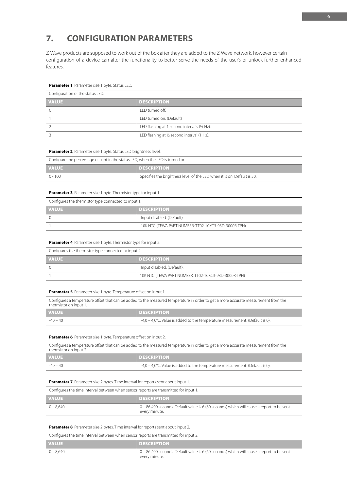## **7. CONFIGURATION PARAMETERS**

Z-Wave products are supposed to work out of the box after they are added to the Z-Wave network, however certain configuration of a device can alter the functionality to better serve the needs of the user's or unlock further enhanced features.

#### **Parameter 1**, Parameter size 1 byte. Status LED.

| Configuration of the status LED. |                                              |
|----------------------------------|----------------------------------------------|
| <b>VALUE</b>                     | <b>DESCRIPTION</b>                           |
|                                  | LED turned off.                              |
|                                  | LED turned on. (Default)                     |
|                                  | LED flashing at 1 second intervals (1/2 Hz). |
|                                  | LED flashing at 1/2 second interval (1 Hz).  |

**Parameter 2**, Parameter size 1 byte. Status LED brightness level.

| Configure the percentage of light in the status LED, when the LED is turned on |                                                                         |  |
|--------------------------------------------------------------------------------|-------------------------------------------------------------------------|--|
| <b>VALUE</b>                                                                   | <b>DESCRIPTION</b>                                                      |  |
| $0 - 100$                                                                      | Specifies the brightness level of the LED when it is on. Default is 50. |  |

#### **Parameter 3**, Parameter size 1 byte. Thermistor type for input 1.

| Configures the thermistor type connected to input 1. |                                                      |
|------------------------------------------------------|------------------------------------------------------|
| <b>VALUE</b>                                         | <b>DESCRIPTION</b>                                   |
|                                                      | Input disabled. (Default).                           |
|                                                      | 10K NTC (TEWA PART NUMBER: TT02-10KC3-93D-3000R-TPH) |

#### **Parameter 4**, Parameter size 1 byte. Thermistor type for input 2.

| Configures the thermistor type connected to input 2. |                                                      |
|------------------------------------------------------|------------------------------------------------------|
| <b>VALUE</b>                                         | <b>DESCRIPTION</b>                                   |
|                                                      | Input disabled. (Default).                           |
|                                                      | 10K NTC (TEWA PART NUMBER: TT02-10KC3-93D-3000R-TPH) |

#### **Parameter 5**, Parameter size 1 byte. Temperature offset on input 1.

Configures a temperature offset that can be added to the measured temperature in order to get a more accurate measurement from the thermistor on input 1.

| <b>VALUE</b> | <b>DESCRIPTION</b>                                                              |
|--------------|---------------------------------------------------------------------------------|
| $-40 - 40$   | $-4.0 - 4.0$ °C. Value is added to the temperature measurement. (Default is 0). |
|              |                                                                                 |

#### **Parameter 6**, Parameter size 1 byte. Temperature offset on input 2.

Configures a temperature offset that can be added to the measured temperature in order to get a more accurate measurement from the thermister on input 2 therm

| <b>VALUE</b> | <b>IDESCRIPTION</b>                                                             |
|--------------|---------------------------------------------------------------------------------|
| $-40 - 40$   | $-4.0 - 4.0$ °C. Value is added to the temperature measurement. (Default is 0). |

#### **Parameter 7**, Parameter size 2 bytes. Time interval for reports sent about input 1.

Configures the time interval between when sensor reports are transmitted for input 1.

| <b>VALUE</b> | <b>DESCRIPTION</b>                                                                                        |
|--------------|-----------------------------------------------------------------------------------------------------------|
| $0 - 8.640$  | 0 – 86 400 seconds. Default value is 6 (60 seconds) which will cause a report to be sent<br>every minute. |

#### **Parameter 8**, Parameter size 2 bytes. Time interval for reports sent about input 2.

Configures the time interval between when sensor reports are transmitted for input 2.

| <b>VALUE</b> | <b>DESCRIPTION</b>                                                                                        |
|--------------|-----------------------------------------------------------------------------------------------------------|
| $0 - 8.640$  | 0 – 86 400 seconds. Default value is 6 (60 seconds) which will cause a report to be sent<br>every minute. |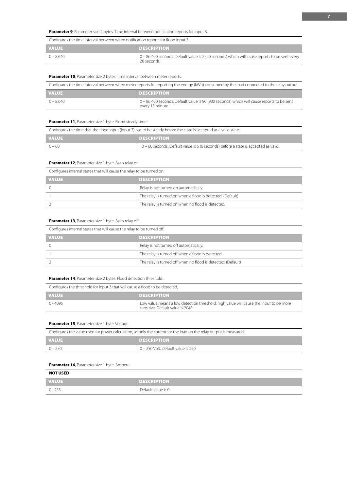#### Parameter 9, Parameter size 2 bytes. Time interval between notification reports for input 3.

| Configures the time interval between when notification reports for flood input 3. |                                                                                                              |  |
|-----------------------------------------------------------------------------------|--------------------------------------------------------------------------------------------------------------|--|
| <b>VALUE</b>                                                                      | <b>DESCRIPTION</b>                                                                                           |  |
| $\vert 0 - 8.640 \vert$                                                           | 0 - 86 400 seconds. Default value is 2 (20 seconds) which will cause reports to be sent every<br>20 seconds. |  |

#### Parameter 10, Parameter size 2 bytes. Time interval between meter reports.

Configures the time interval between when meter reports for reporting the energy (kWh) consumed by the load connected to the relay output.

| <b>VALUE</b>  | <b>DESCRIPTION</b>                                                                                            |
|---------------|---------------------------------------------------------------------------------------------------------------|
| $  0 - 8.640$ | 0 - 86 400 seconds. Default value is 90 (900 seconds) which will cause reports to be sent<br>every 15 minute. |

#### **Parameter 11**, Parameter size 1 byte. Flood steady timer.

Configures the time that the flood input (input 3) has to be steady before the state is accepted as a valid state.

| <b>VALUE</b> | <b>DESCRIPTION</b>                                                                  |
|--------------|-------------------------------------------------------------------------------------|
| $0 - 60$     | 0 – 60 seconds. Default value is 6 (6 seconds) before a state is accepted as valid. |

#### Parameter 12, Parameter size 1 byte. Auto relay on.

| Configures internal states that will cause the relay to be turned on. |                                                            |
|-----------------------------------------------------------------------|------------------------------------------------------------|
| <b>VALUE</b>                                                          | <b>DESCRIPTION</b>                                         |
|                                                                       | Relay is not turned on automatically.                      |
|                                                                       | The relay is turned on when a flood is detected. (Default) |
|                                                                       | The relay is turned on when no flood is detected.          |

#### Parameter 13, Parameter size 1 byte. Auto relay off.

Configures internal states that will cause the relay to be turned off.

| <b>VALUE</b> | <b>DESCRIPTION</b>                                           |
|--------------|--------------------------------------------------------------|
|              | Relay is not turned off automatically.                       |
|              | The relay is turned off when a flood is detected.            |
|              | The relay is turned off when no flood is detected. (Default) |

#### **Parameter 14**, Parameter size 2 bytes. Flood detection threshold.

| Configures the threshold for input 3 that will cause a flood to be detected. |                                                                                                                            |
|------------------------------------------------------------------------------|----------------------------------------------------------------------------------------------------------------------------|
| <b>VALUE</b>                                                                 | <b>DESCRIPTION</b>                                                                                                         |
| $0 - 4095$                                                                   | Low value means a low detection threshold, high value will cause the input to be more<br>sensitive. Default value is 2048. |

#### Parameter 15, Parameter size 1 byte. Voltage.

| Configures the value used for power calculation, as only the current for the load on the relay output is measured. |                                     |
|--------------------------------------------------------------------------------------------------------------------|-------------------------------------|
| <b>VALUE</b>                                                                                                       | <b>DESCRIPTION</b>                  |
| $0 - 250$                                                                                                          | 0 - 250 Volt. Default value is 220. |

#### Parameter 16, Parameter size 1 byte. Ampere.

| <b>NOT USED</b> |                     |
|-----------------|---------------------|
| <b>VALUE</b>    | <b>DESCRIPTION</b>  |
| $0 - 255$       | Default value is 0. |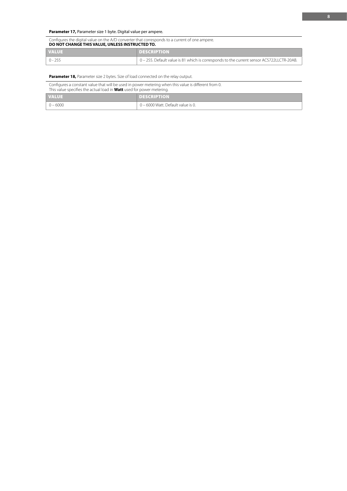| Configures the digital value on the A/D converter that corresponds to a current of one ampere.<br>DO NOT CHANGE THIS VALUE, UNLESS INSTRUCTED TO. |                                                                                           |
|---------------------------------------------------------------------------------------------------------------------------------------------------|-------------------------------------------------------------------------------------------|
| <b>VALUE</b>                                                                                                                                      | <b>DESCRIPTION</b>                                                                        |
| በ - 255                                                                                                                                           | 0 - 255. Default value is 81 which is corresponds to the current sensor ACS722LLCTR-20AB. |

#### **Parameter 18,** Parameter size 2 bytes. Size of load connected on the relay output.

Configures a constant value that will be used in power metering when this value is different from 0. This value specifies the actual load in **Watt** used for power metering.

| <b>VALUE</b> | <b>DESCRIPTION</b>                 |
|--------------|------------------------------------|
| $0 - 6000$   | 0 - 6000 Watt. Default value is 0. |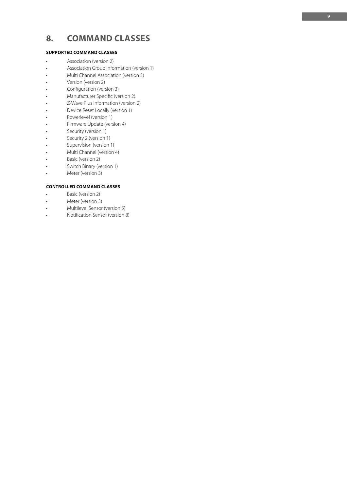## **8. COMMAND CLASSES**

#### **SUPPORTED COMMAND CLASSES**

- Association (version 2)
- Association Group Information (version 1)
- Multi Channel Association (version 3)<br>• Version (version 2)
- 
- Configuration (version 3)
- 
- Manufacturer Specific (version 2)<br>• Z-Wave Plus Information (version 2)<br>• Device Reset Locally (version 1)
- 
- Powerlevel (version 1)
- Firmware Update (version 4)
- Security (version 1)
- Security 2 (version 1)
- 
- Supervision (version 1)<br>• Multi Channel (version 4)
- Basic (version 2)
- Switch Binary (version 1)
- Meter (version 3)

#### **CONTROLLED COMMAND CLASSES**

- Basic (version 2)
- Meter (version 3)
- 
- Multilevel Sensor (version 5)<br>• Notification Sensor (version 8)